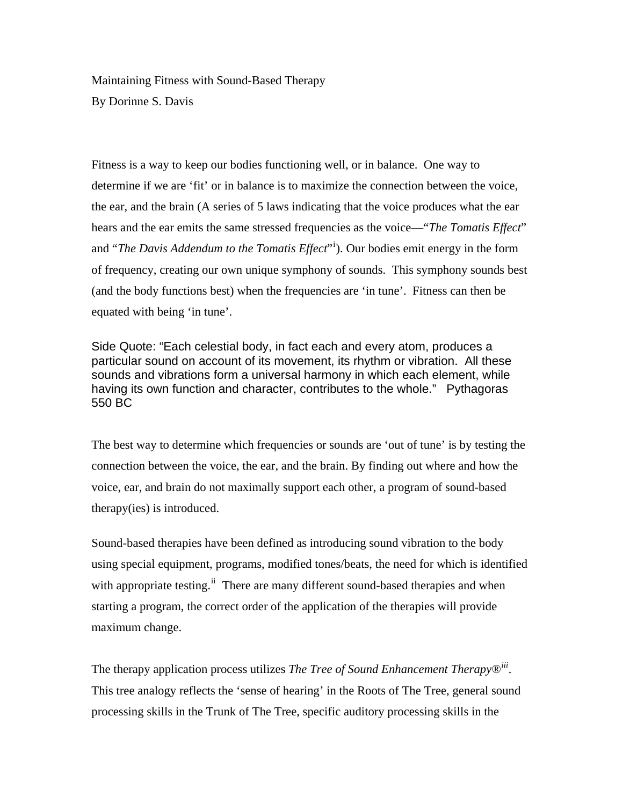Maintaining Fitness with Sound-Based Therapy By Dorinne S. Davis

Fitness is a way to keep our bodies functioning well, or in balance. One way to determine if we are 'fit' or in balance is to maximize the connection between the voice, the ear, and the brain (A series of 5 laws indicating that the voice produces what the ear hears and the ear emits the same stressed frequencies as the voice—"*The Tomatis Effect*" and "*The Davis Addendum to the Tomatis Effect*"<sup>i</sup> ). Our bodies emit energy in the form of frequency, creating our own unique symphony of sounds. This symphony sounds best (and the body functions best) when the frequencies are 'in tune'. Fitness can then be equated with being 'in tune'.

Side Quote: "Each celestial body, in fact each and every atom, produces a particular sound on account of its movement, its rhythm or vibration. All these sounds and vibrations form a universal harmony in which each element, while having its own function and character, contributes to the whole." Pythagoras 550 BC

The best way to determine which frequencies or sounds are 'out of tune' is by testing the connection between the voice, the ear, and the brain. By finding out where and how the voice, ear, and brain do not maximally support each other, a program of sound-based therapy(ies) is introduced.

Sound-based therapies have been defined as introducing sound vibration to the body using special equipment, programs, modified tones/beats, the need for which is identified with appropriate testing.<sup>ii</sup> There are many different sound-based therapies and when starting a program, the correct order of the application of the therapies will provide maximum change.

The therapy application process utilizes *The Tree of Sound Enhancement Therapy®iii.*  This tree analogy reflects the 'sense of hearing' in the Roots of The Tree, general sound processing skills in the Trunk of The Tree, specific auditory processing skills in the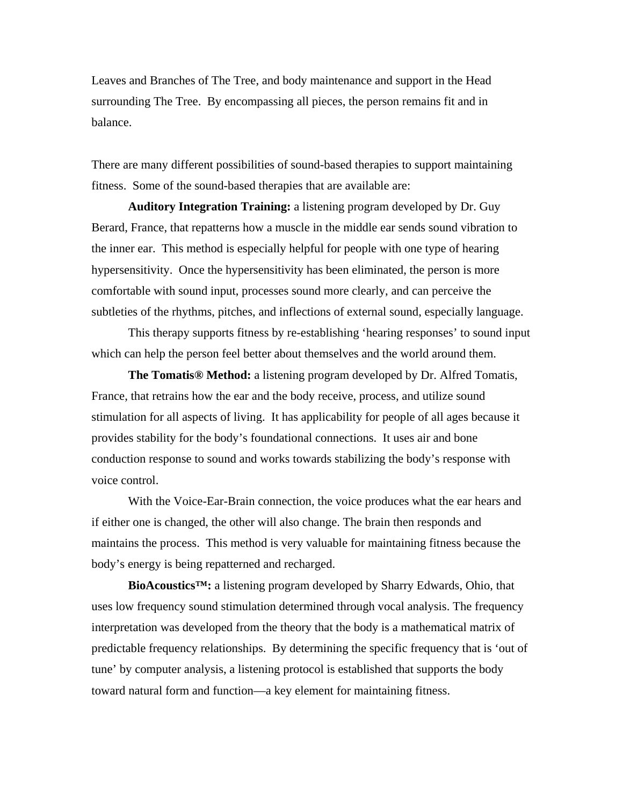Leaves and Branches of The Tree, and body maintenance and support in the Head surrounding The Tree. By encompassing all pieces, the person remains fit and in balance.

There are many different possibilities of sound-based therapies to support maintaining fitness. Some of the sound-based therapies that are available are:

**Auditory Integration Training:** a listening program developed by Dr. Guy Berard, France, that repatterns how a muscle in the middle ear sends sound vibration to the inner ear. This method is especially helpful for people with one type of hearing hypersensitivity. Once the hypersensitivity has been eliminated, the person is more comfortable with sound input, processes sound more clearly, and can perceive the subtleties of the rhythms, pitches, and inflections of external sound, especially language.

 This therapy supports fitness by re-establishing 'hearing responses' to sound input which can help the person feel better about themselves and the world around them.

**The Tomatis® Method:** a listening program developed by Dr. Alfred Tomatis, France, that retrains how the ear and the body receive, process, and utilize sound stimulation for all aspects of living. It has applicability for people of all ages because it provides stability for the body's foundational connections. It uses air and bone conduction response to sound and works towards stabilizing the body's response with voice control.

 With the Voice-Ear-Brain connection, the voice produces what the ear hears and if either one is changed, the other will also change. The brain then responds and maintains the process. This method is very valuable for maintaining fitness because the body's energy is being repatterned and recharged.

**BioAcoustics™:** a listening program developed by Sharry Edwards, Ohio, that uses low frequency sound stimulation determined through vocal analysis. The frequency interpretation was developed from the theory that the body is a mathematical matrix of predictable frequency relationships. By determining the specific frequency that is 'out of tune' by computer analysis, a listening protocol is established that supports the body toward natural form and function—a key element for maintaining fitness.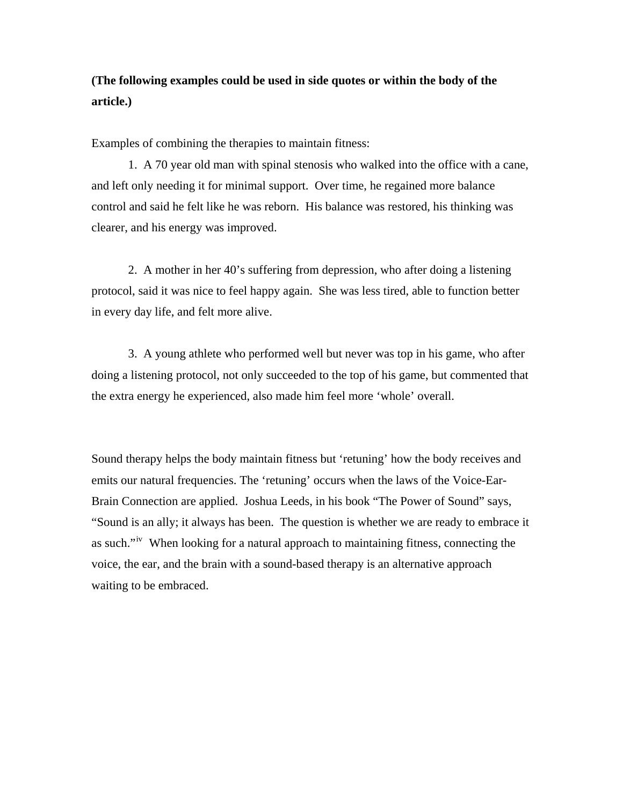## **(The following examples could be used in side quotes or within the body of the article.)**

Examples of combining the therapies to maintain fitness:

 1. A 70 year old man with spinal stenosis who walked into the office with a cane, and left only needing it for minimal support. Over time, he regained more balance control and said he felt like he was reborn. His balance was restored, his thinking was clearer, and his energy was improved.

 2. A mother in her 40's suffering from depression, who after doing a listening protocol, said it was nice to feel happy again. She was less tired, able to function better in every day life, and felt more alive.

 3. A young athlete who performed well but never was top in his game, who after doing a listening protocol, not only succeeded to the top of his game, but commented that the extra energy he experienced, also made him feel more 'whole' overall.

Sound therapy helps the body maintain fitness but 'retuning' how the body receives and emits our natural frequencies. The 'retuning' occurs when the laws of the Voice-Ear-Brain Connection are applied. Joshua Leeds, in his book "The Power of Sound" says, "Sound is an ally; it always has been. The question is whether we are ready to embrace it as such."<sup>iv</sup> When looking for a natural approach to maintaining fitness, connecting the voice, the ear, and the brain with a sound-based therapy is an alternative approach waiting to be embraced.